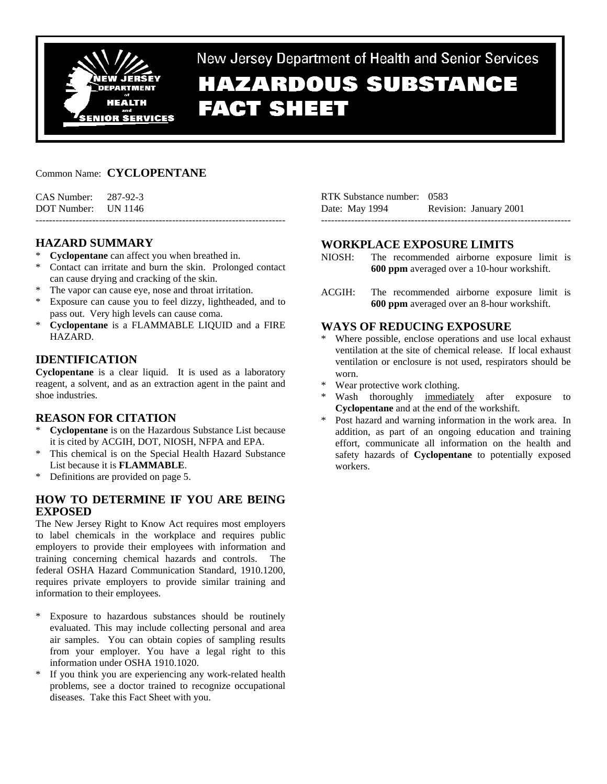

New Jersey Department of Health and Senior Services

# **HAZARDOUS SUBSTANCE FACT SHEET**

# Common Name: **CYCLOPENTANE**

| CAS Number: | 287-92-3 |
|-------------|----------|
| DOT Number: | UN 1146  |

# **HAZARD SUMMARY**

- **Cyclopentane** can affect you when breathed in.
- Contact can irritate and burn the skin. Prolonged contact can cause drying and cracking of the skin.

---------------------------------------------------------------------------

- \* The vapor can cause eye, nose and throat irritation.
- \* Exposure can cause you to feel dizzy, lightheaded, and to pass out. Very high levels can cause coma.
- \* **Cyclopentane** is a FLAMMABLE LIQUID and a FIRE HAZARD.

# **IDENTIFICATION**

**Cyclopentane** is a clear liquid. It is used as a laboratory reagent, a solvent, and as an extraction agent in the paint and shoe industries.

# **REASON FOR CITATION**

- \* **Cyclopentane** is on the Hazardous Substance List because it is cited by ACGIH, DOT, NIOSH, NFPA and EPA.
- This chemical is on the Special Health Hazard Substance List because it is **FLAMMABLE**.
- \* Definitions are provided on page 5.

# **HOW TO DETERMINE IF YOU ARE BEING EXPOSED**

The New Jersey Right to Know Act requires most employers to label chemicals in the workplace and requires public employers to provide their employees with information and training concerning chemical hazards and controls. The federal OSHA Hazard Communication Standard, 1910.1200, requires private employers to provide similar training and information to their employees.

- \* Exposure to hazardous substances should be routinely evaluated. This may include collecting personal and area air samples. You can obtain copies of sampling results from your employer. You have a legal right to this information under OSHA 1910.1020.
- \* If you think you are experiencing any work-related health problems, see a doctor trained to recognize occupational diseases. Take this Fact Sheet with you.

| RTK Substance number: 0583 |                        |
|----------------------------|------------------------|
| Date: May 1994             | Revision: January 2001 |
|                            |                        |

# **WORKPLACE EXPOSURE LIMITS**

- NIOSH: The recommended airborne exposure limit is **600 ppm** averaged over a 10-hour workshift.
- ACGIH: The recommended airborne exposure limit is **600 ppm** averaged over an 8-hour workshift.

# **WAYS OF REDUCING EXPOSURE**

- \* Where possible, enclose operations and use local exhaust ventilation at the site of chemical release. If local exhaust ventilation or enclosure is not used, respirators should be worn.
- Wear protective work clothing.
- Wash thoroughly immediately after exposure to **Cyclopentane** and at the end of the workshift.
- Post hazard and warning information in the work area. In addition, as part of an ongoing education and training effort, communicate all information on the health and safety hazards of **Cyclopentane** to potentially exposed workers.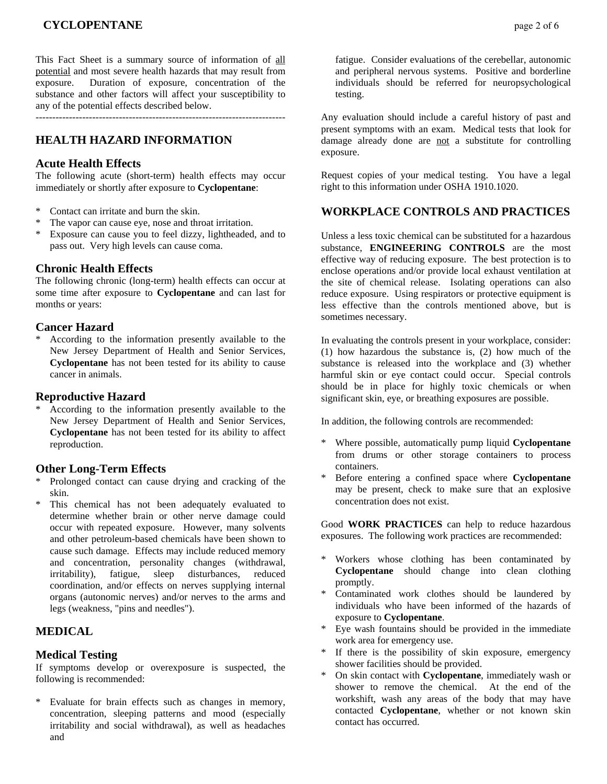# **CYCLOPENTANE** page 2 of 6

This Fact Sheet is a summary source of information of all potential and most severe health hazards that may result from exposure. Duration of exposure, concentration of the substance and other factors will affect your susceptibility to any of the potential effects described below.

---------------------------------------------------------------------------

# **HEALTH HAZARD INFORMATION**

#### **Acute Health Effects**

The following acute (short-term) health effects may occur immediately or shortly after exposure to **Cyclopentane**:

- Contact can irritate and burn the skin.
- \* The vapor can cause eye, nose and throat irritation.
- \* Exposure can cause you to feel dizzy, lightheaded, and to pass out. Very high levels can cause coma.

## **Chronic Health Effects**

The following chronic (long-term) health effects can occur at some time after exposure to **Cyclopentane** and can last for months or years:

## **Cancer Hazard**

\* According to the information presently available to the New Jersey Department of Health and Senior Services, **Cyclopentane** has not been tested for its ability to cause cancer in animals.

#### **Reproductive Hazard**

According to the information presently available to the New Jersey Department of Health and Senior Services, **Cyclopentane** has not been tested for its ability to affect reproduction.

## **Other Long-Term Effects**

- Prolonged contact can cause drying and cracking of the skin.
- \* This chemical has not been adequately evaluated to determine whether brain or other nerve damage could occur with repeated exposure. However, many solvents and other petroleum-based chemicals have been shown to cause such damage. Effects may include reduced memory and concentration, personality changes (withdrawal, irritability), fatigue, sleep disturbances, reduced coordination, and/or effects on nerves supplying internal organs (autonomic nerves) and/or nerves to the arms and legs (weakness, "pins and needles").

# **MEDICAL**

#### **Medical Testing**

If symptoms develop or overexposure is suspected, the following is recommended:

\* Evaluate for brain effects such as changes in memory, concentration, sleeping patterns and mood (especially irritability and social withdrawal), as well as headaches and

 fatigue. Consider evaluations of the cerebellar, autonomic and peripheral nervous systems. Positive and borderline individuals should be referred for neuropsychological testing.

Any evaluation should include a careful history of past and present symptoms with an exam. Medical tests that look for damage already done are not a substitute for controlling exposure.

Request copies of your medical testing. You have a legal right to this information under OSHA 1910.1020.

# **WORKPLACE CONTROLS AND PRACTICES**

Unless a less toxic chemical can be substituted for a hazardous substance, **ENGINEERING CONTROLS** are the most effective way of reducing exposure. The best protection is to enclose operations and/or provide local exhaust ventilation at the site of chemical release. Isolating operations can also reduce exposure. Using respirators or protective equipment is less effective than the controls mentioned above, but is sometimes necessary.

In evaluating the controls present in your workplace, consider: (1) how hazardous the substance is, (2) how much of the substance is released into the workplace and (3) whether harmful skin or eye contact could occur. Special controls should be in place for highly toxic chemicals or when significant skin, eye, or breathing exposures are possible.

In addition, the following controls are recommended:

- Where possible, automatically pump liquid **Cyclopentane** from drums or other storage containers to process containers.
- \* Before entering a confined space where **Cyclopentane** may be present, check to make sure that an explosive concentration does not exist.

Good **WORK PRACTICES** can help to reduce hazardous exposures. The following work practices are recommended:

- \* Workers whose clothing has been contaminated by **Cyclopentane** should change into clean clothing promptly.
- Contaminated work clothes should be laundered by individuals who have been informed of the hazards of exposure to **Cyclopentane**.
- Eye wash fountains should be provided in the immediate work area for emergency use.
- If there is the possibility of skin exposure, emergency shower facilities should be provided.
- \* On skin contact with **Cyclopentane**, immediately wash or shower to remove the chemical. At the end of the workshift, wash any areas of the body that may have contacted **Cyclopentane**, whether or not known skin contact has occurred.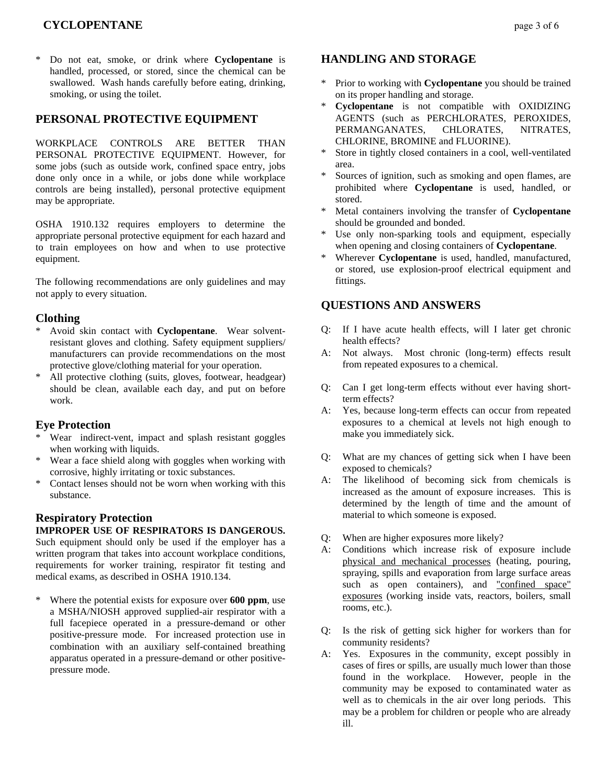# **CYCLOPENTANE page 3 of 6**

\* Do not eat, smoke, or drink where **Cyclopentane** is handled, processed, or stored, since the chemical can be swallowed. Wash hands carefully before eating, drinking, smoking, or using the toilet.

# **PERSONAL PROTECTIVE EQUIPMENT**

WORKPLACE CONTROLS ARE BETTER THAN PERSONAL PROTECTIVE EQUIPMENT. However, for some jobs (such as outside work, confined space entry, jobs done only once in a while, or jobs done while workplace controls are being installed), personal protective equipment may be appropriate.

OSHA 1910.132 requires employers to determine the appropriate personal protective equipment for each hazard and to train employees on how and when to use protective equipment.

The following recommendations are only guidelines and may not apply to every situation.

## **Clothing**

- \* Avoid skin contact with **Cyclopentane**. Wear solventresistant gloves and clothing. Safety equipment suppliers/ manufacturers can provide recommendations on the most protective glove/clothing material for your operation.
- \* All protective clothing (suits, gloves, footwear, headgear) should be clean, available each day, and put on before work.

#### **Eye Protection**

- Wear indirect-vent, impact and splash resistant goggles when working with liquids.
- \* Wear a face shield along with goggles when working with corrosive, highly irritating or toxic substances.
- \* Contact lenses should not be worn when working with this substance.

# **Respiratory Protection**

#### **IMPROPER USE OF RESPIRATORS IS DANGEROUS.**

Such equipment should only be used if the employer has a written program that takes into account workplace conditions, requirements for worker training, respirator fit testing and medical exams, as described in OSHA 1910.134.

Where the potential exists for exposure over **600 ppm**, use a MSHA/NIOSH approved supplied-air respirator with a full facepiece operated in a pressure-demand or other positive-pressure mode. For increased protection use in combination with an auxiliary self-contained breathing apparatus operated in a pressure-demand or other positivepressure mode.

## **HANDLING AND STORAGE**

- Prior to working with **Cyclopentane** you should be trained on its proper handling and storage.
- **Cyclopentane** is not compatible with OXIDIZING AGENTS (such as PERCHLORATES, PEROXIDES, PERMANGANATES, CHLORATES, NITRATES, CHLORINE, BROMINE and FLUORINE).
- Store in tightly closed containers in a cool, well-ventilated area.
- Sources of ignition, such as smoking and open flames, are prohibited where **Cyclopentane** is used, handled, or stored.
- Metal containers involving the transfer of **Cyclopentane** should be grounded and bonded.
- Use only non-sparking tools and equipment, especially when opening and closing containers of **Cyclopentane**.
- Wherever **Cyclopentane** is used, handled, manufactured, or stored, use explosion-proof electrical equipment and fittings.

# **QUESTIONS AND ANSWERS**

- Q: If I have acute health effects, will I later get chronic health effects?
- A: Not always. Most chronic (long-term) effects result from repeated exposures to a chemical.
- Q: Can I get long-term effects without ever having shortterm effects?
- A: Yes, because long-term effects can occur from repeated exposures to a chemical at levels not high enough to make you immediately sick.
- Q: What are my chances of getting sick when I have been exposed to chemicals?
- A: The likelihood of becoming sick from chemicals is increased as the amount of exposure increases. This is determined by the length of time and the amount of material to which someone is exposed.
- Q: When are higher exposures more likely?
- A: Conditions which increase risk of exposure include physical and mechanical processes (heating, pouring, spraying, spills and evaporation from large surface areas such as open containers), and "confined space" exposures (working inside vats, reactors, boilers, small rooms, etc.).
- Q: Is the risk of getting sick higher for workers than for community residents?
- A: Yes. Exposures in the community, except possibly in cases of fires or spills, are usually much lower than those found in the workplace. However, people in the community may be exposed to contaminated water as well as to chemicals in the air over long periods. This may be a problem for children or people who are already ill.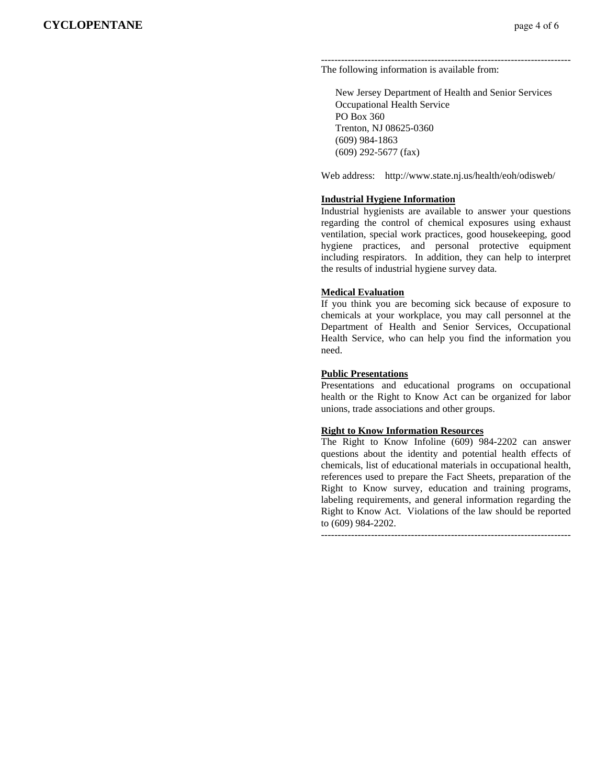#### --------------------------------------------------------------------------- The following information is available from:

 New Jersey Department of Health and Senior Services Occupational Health Service PO Box 360 Trenton, NJ 08625-0360 (609) 984-1863 (609) 292-5677 (fax)

Web address: http://www.state.nj.us/health/eoh/odisweb/

#### **Industrial Hygiene Information**

Industrial hygienists are available to answer your questions regarding the control of chemical exposures using exhaust ventilation, special work practices, good housekeeping, good hygiene practices, and personal protective equipment including respirators. In addition, they can help to interpret the results of industrial hygiene survey data.

#### **Medical Evaluation**

If you think you are becoming sick because of exposure to chemicals at your workplace, you may call personnel at the Department of Health and Senior Services, Occupational Health Service, who can help you find the information you need.

#### **Public Presentations**

Presentations and educational programs on occupational health or the Right to Know Act can be organized for labor unions, trade associations and other groups.

#### **Right to Know Information Resources**

The Right to Know Infoline (609) 984-2202 can answer questions about the identity and potential health effects of chemicals, list of educational materials in occupational health, references used to prepare the Fact Sheets, preparation of the Right to Know survey, education and training programs, labeling requirements, and general information regarding the Right to Know Act. Violations of the law should be reported to (609) 984-2202.

---------------------------------------------------------------------------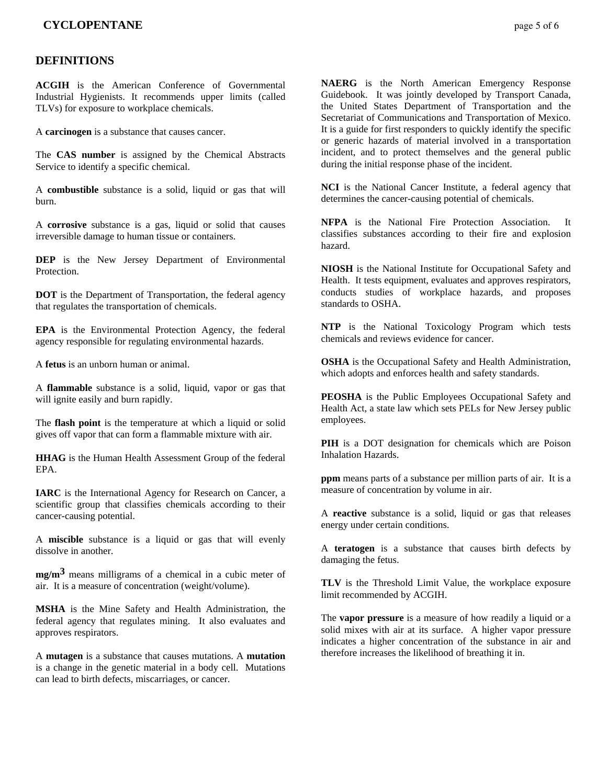## **DEFINITIONS**

**ACGIH** is the American Conference of Governmental Industrial Hygienists. It recommends upper limits (called TLVs) for exposure to workplace chemicals.

A **carcinogen** is a substance that causes cancer.

The **CAS number** is assigned by the Chemical Abstracts Service to identify a specific chemical.

A **combustible** substance is a solid, liquid or gas that will burn.

A **corrosive** substance is a gas, liquid or solid that causes irreversible damage to human tissue or containers.

**DEP** is the New Jersey Department of Environmental Protection.

**DOT** is the Department of Transportation, the federal agency that regulates the transportation of chemicals.

**EPA** is the Environmental Protection Agency, the federal agency responsible for regulating environmental hazards.

A **fetus** is an unborn human or animal.

A **flammable** substance is a solid, liquid, vapor or gas that will ignite easily and burn rapidly.

The **flash point** is the temperature at which a liquid or solid gives off vapor that can form a flammable mixture with air.

**HHAG** is the Human Health Assessment Group of the federal EPA.

**IARC** is the International Agency for Research on Cancer, a scientific group that classifies chemicals according to their cancer-causing potential.

A **miscible** substance is a liquid or gas that will evenly dissolve in another.

**mg/m3** means milligrams of a chemical in a cubic meter of air. It is a measure of concentration (weight/volume).

**MSHA** is the Mine Safety and Health Administration, the federal agency that regulates mining. It also evaluates and approves respirators.

A **mutagen** is a substance that causes mutations. A **mutation** is a change in the genetic material in a body cell. Mutations can lead to birth defects, miscarriages, or cancer.

**NAERG** is the North American Emergency Response Guidebook. It was jointly developed by Transport Canada, the United States Department of Transportation and the Secretariat of Communications and Transportation of Mexico. It is a guide for first responders to quickly identify the specific or generic hazards of material involved in a transportation incident, and to protect themselves and the general public during the initial response phase of the incident.

**NCI** is the National Cancer Institute, a federal agency that determines the cancer-causing potential of chemicals.

**NFPA** is the National Fire Protection Association. It classifies substances according to their fire and explosion hazard.

**NIOSH** is the National Institute for Occupational Safety and Health. It tests equipment, evaluates and approves respirators, conducts studies of workplace hazards, and proposes standards to OSHA.

**NTP** is the National Toxicology Program which tests chemicals and reviews evidence for cancer.

**OSHA** is the Occupational Safety and Health Administration, which adopts and enforces health and safety standards.

**PEOSHA** is the Public Employees Occupational Safety and Health Act, a state law which sets PELs for New Jersey public employees.

**PIH** is a DOT designation for chemicals which are Poison Inhalation Hazards.

**ppm** means parts of a substance per million parts of air. It is a measure of concentration by volume in air.

A **reactive** substance is a solid, liquid or gas that releases energy under certain conditions.

A **teratogen** is a substance that causes birth defects by damaging the fetus.

**TLV** is the Threshold Limit Value, the workplace exposure limit recommended by ACGIH.

The **vapor pressure** is a measure of how readily a liquid or a solid mixes with air at its surface. A higher vapor pressure indicates a higher concentration of the substance in air and therefore increases the likelihood of breathing it in.